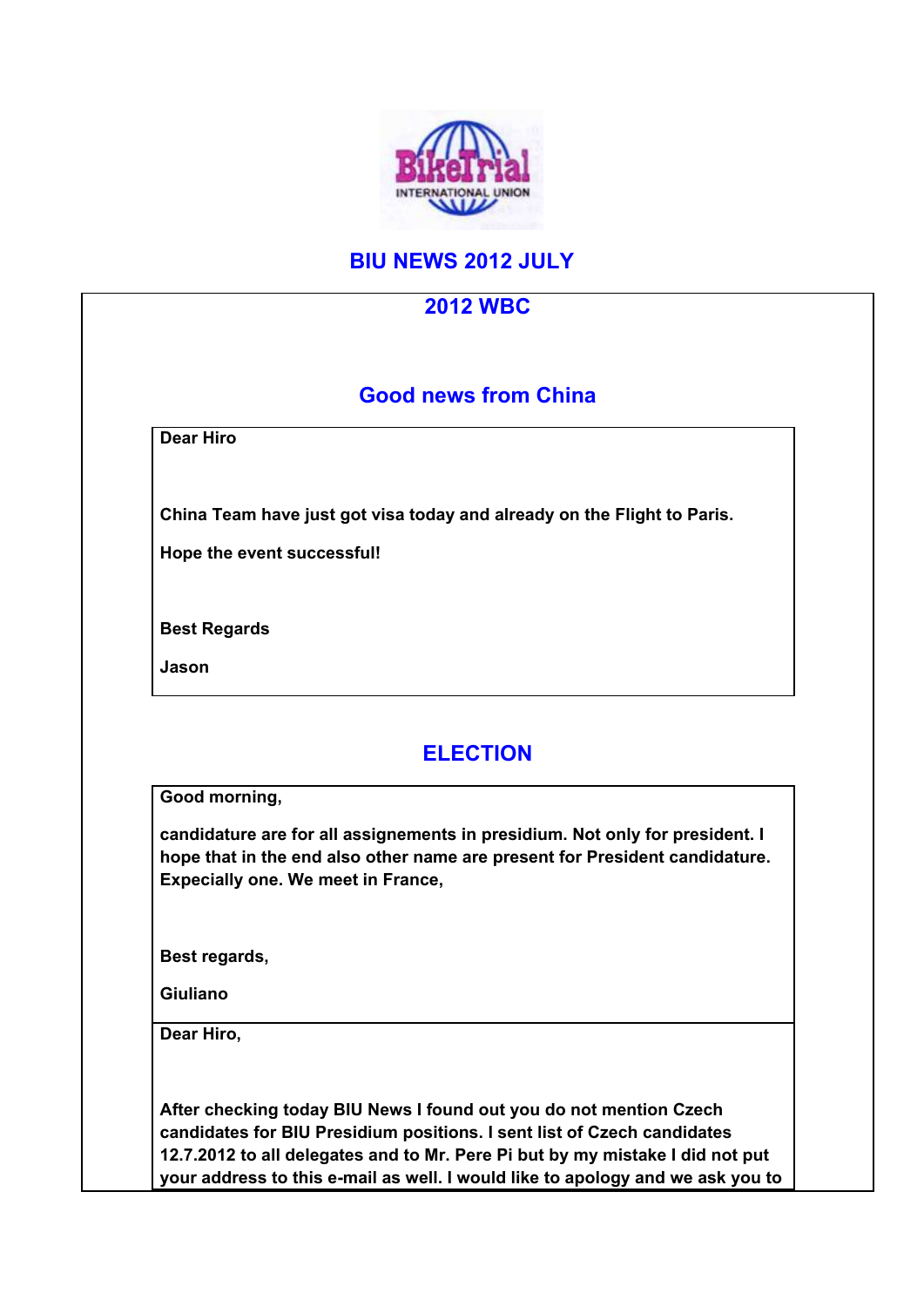

## **BIU NEWS 2012 JULY**

| <b>2012 WBC</b>                                                                                                                                                                                   |  |
|---------------------------------------------------------------------------------------------------------------------------------------------------------------------------------------------------|--|
| <b>Good news from China</b>                                                                                                                                                                       |  |
| <b>Dear Hiro</b>                                                                                                                                                                                  |  |
| China Team have just got visa today and already on the Flight to Paris.                                                                                                                           |  |
| Hope the event successful!                                                                                                                                                                        |  |
| <b>Best Regards</b>                                                                                                                                                                               |  |
| Jason                                                                                                                                                                                             |  |
| Good morning,                                                                                                                                                                                     |  |
| candidature are for all assignements in presidium. Not only for president. I<br>hope that in the end also other name are present for President candidature.<br>Expecially one. We meet in France, |  |
|                                                                                                                                                                                                   |  |
|                                                                                                                                                                                                   |  |
|                                                                                                                                                                                                   |  |
|                                                                                                                                                                                                   |  |
| Best regards,<br><b>Giuliano</b><br>Dear Hiro,                                                                                                                                                    |  |
| After checking today BIU News I found out you do not mention Czech<br>candidates for BIU Presidium positions. I sent list of Czech candidates                                                     |  |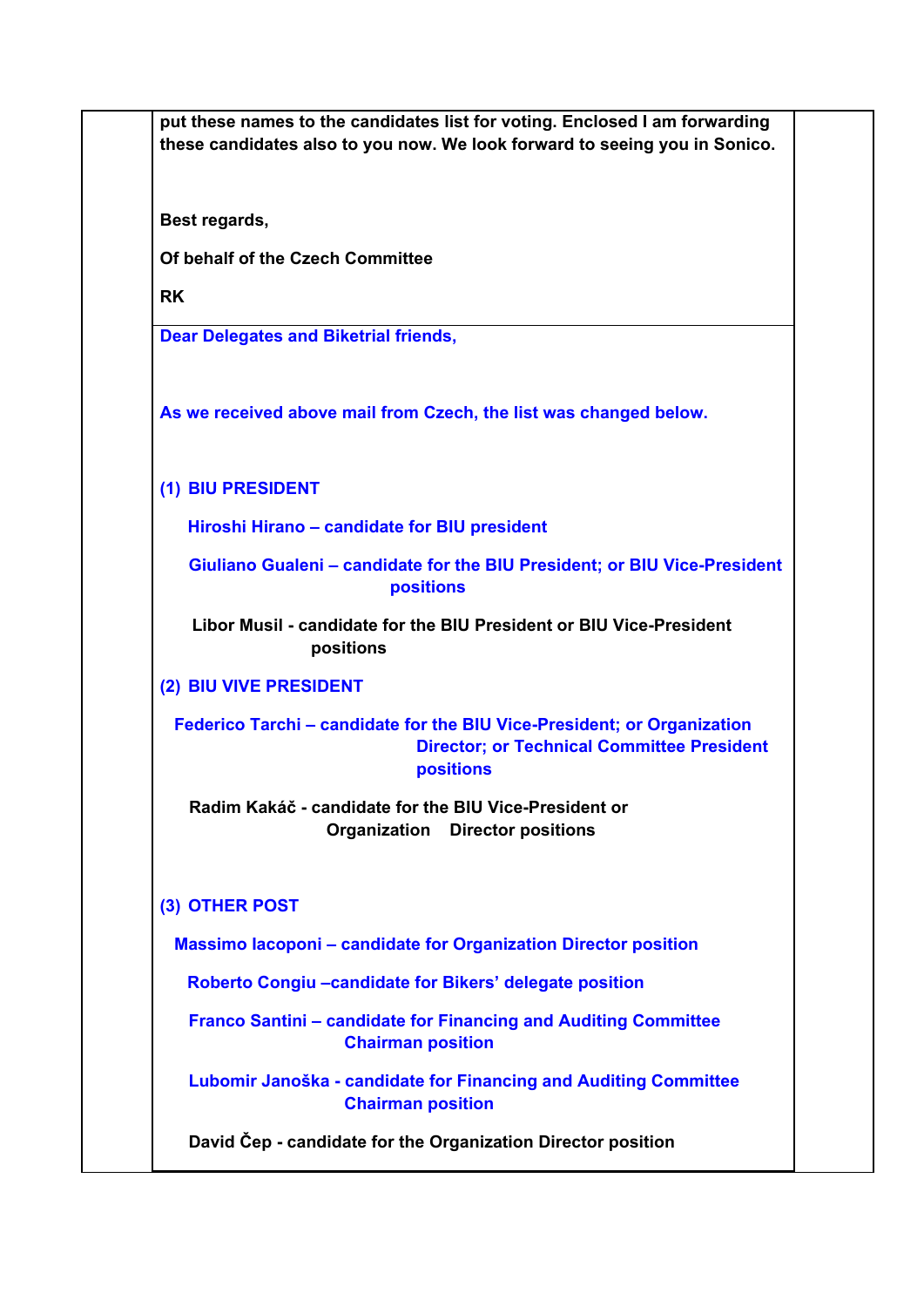**put these names to the candidates list for voting. Enclosed I am forwarding these candidates also to you now. We look forward to seeing you in Sonico. Best regards, Of behalf of the Czech Committee RK Dear Delegates and Biketrial friends, As we received above mail from Czech, the list was changed below. (1) BIU PRESIDENT Hiroshi Hirano – candidate for BIU president Giuliano Gualeni – candidate for the BIU President; or BIU Vice-President positions Libor Musil - candidate for the BIU President or BIU Vice-President positions (2) BIU VIVE PRESIDENT Federico Tarchi – candidate for the BIU Vice-President; or Organization Director; or Technical Committee President positions Radim Kakáč - candidate for the BIU Vice-President or Organization Director positions (3) OTHER POST Massimo Iacoponi – candidate for Organization Director position Roberto Congiu –candidate for Bikers' delegate position Franco Santini – candidate for Financing and Auditing Committee Chairman position Lubomir Janoška - candidate for Financing and Auditing Committee Chairman position David Čep - candidate for the Organization Director position**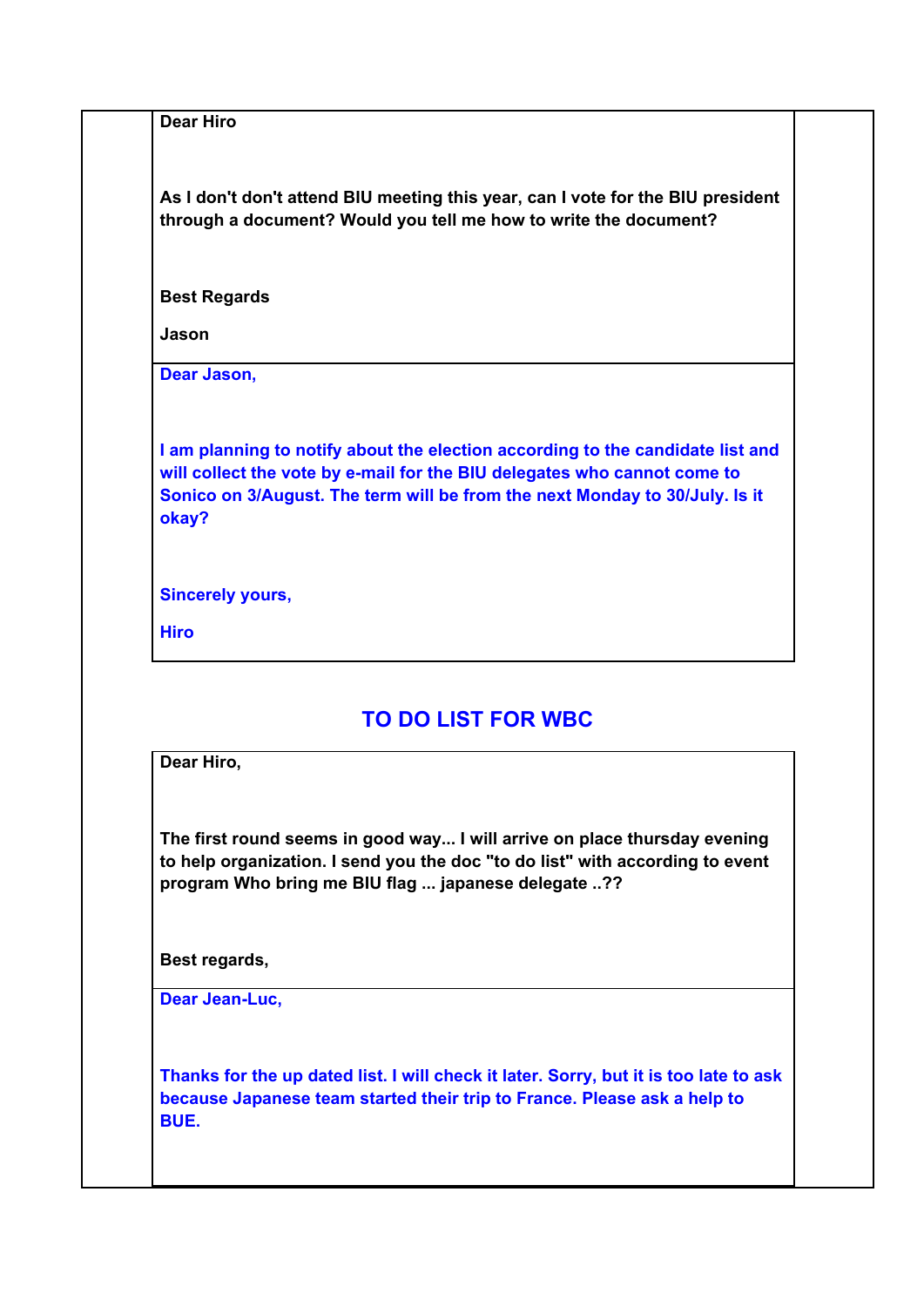**Dear Hiro**

**As I don't don't attend BIU meeting this year, can I vote for the BIU president through a document? Would you tell me how to write the document?**

**Best Regards**

**Jason**

**Dear Jason,**

**I am planning to notify about the election according to the candidate list and will collect the vote by e-mail for the BIU delegates who cannot come to Sonico on 3/August. The term will be from the next Monday to 30/July. Is it okay?**

**Sincerely yours,**

**Hiro**

## **TO DO LIST FOR WBC**

**Dear Hiro,**

**The first round seems in good way... I will arrive on place thursday evening to help organization. I send you the doc "to do list" with according to event program Who bring me BIU flag ... japanese delegate ..??**

**Best regards,**

**Dear Jean-Luc,**

**Thanks for the up dated list. I will check it later. Sorry, but it is too late to ask because Japanese team started their trip to France. Please ask a help to BUE.**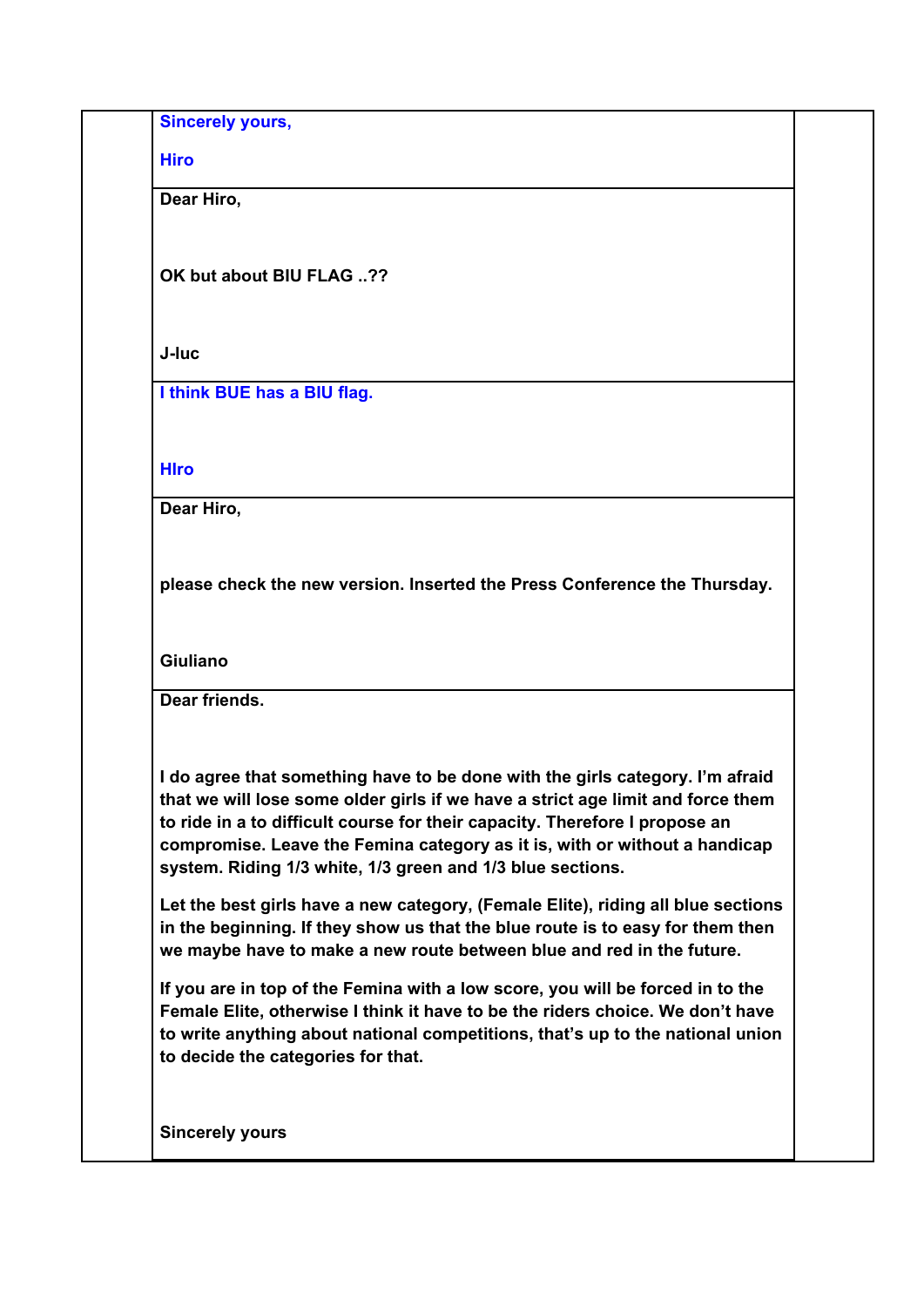**Sincerely yours,**

**Hiro**

**Dear Hiro,**

**OK but about BIU FLAG ..??**

**J-luc**

**I think BUE has a BIU flag.**

**HIro**

**Dear Hiro,**

**please check the new version. Inserted the Press Conference the Thursday.** 

**Giuliano**

**Dear friends.**

**I do agree that something have to be done with the girls category. I'm afraid that we will lose some older girls if we have a strict age limit and force them to ride in a to difficult course for their capacity. Therefore I propose an compromise. Leave the Femina category as it is, with or without a handicap system. Riding 1/3 white, 1/3 green and 1/3 blue sections.** 

**Let the best girls have a new category, (Female Elite), riding all blue sections in the beginning. If they show us that the blue route is to easy for them then we maybe have to make a new route between blue and red in the future.** 

**If you are in top of the Femina with a low score, you will be forced in to the Female Elite, otherwise I think it have to be the riders choice. We don't have to write anything about national competitions, that's up to the national union to decide the categories for that.**

**Sincerely yours**